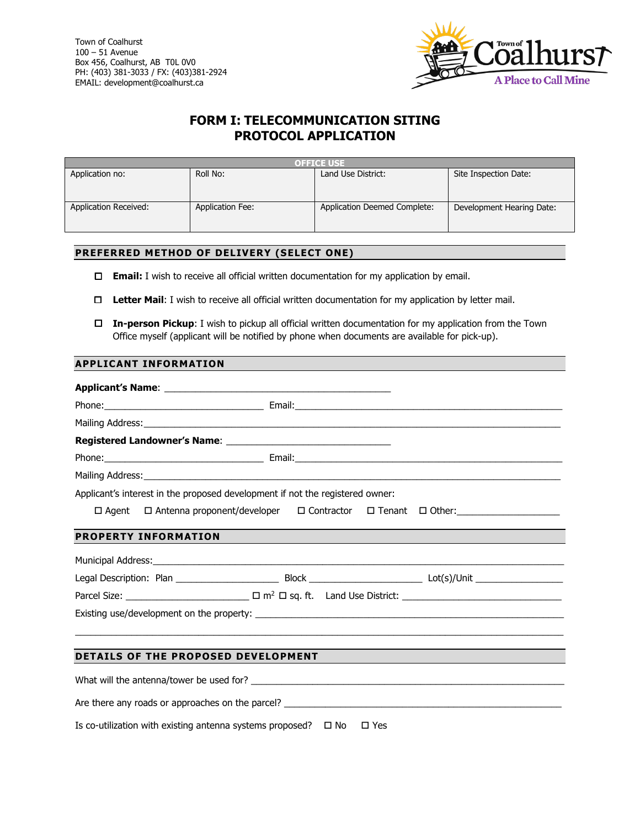

# **FORM I: TELECOMMUNICATION SITING PROTOCOL APPLICATION**

| <b>OFFICE USE</b>     |                         |                              |                           |  |  |  |
|-----------------------|-------------------------|------------------------------|---------------------------|--|--|--|
| Application no:       | Roll No:                | Land Use District:           | Site Inspection Date:     |  |  |  |
|                       |                         |                              |                           |  |  |  |
|                       |                         |                              |                           |  |  |  |
| Application Received: | <b>Application Fee:</b> | Application Deemed Complete: | Development Hearing Date: |  |  |  |
|                       |                         |                              |                           |  |  |  |
|                       |                         |                              |                           |  |  |  |

## **PREFERRED METHOD OF DELIVERY (SELECT ONE)**

- **Email:** I wish to receive all official written documentation for my application by email.
- **Letter Mail**: I wish to receive all official written documentation for my application by letter mail.
- **In-person Pickup**: I wish to pickup all official written documentation for my application from the Town Office myself (applicant will be notified by phone when documents are available for pick-up).

## **APPLICANT INFORMATION**

| Applicant's interest in the proposed development if not the registered owner: |                                                                                         |  |  |  |  |  |
|-------------------------------------------------------------------------------|-----------------------------------------------------------------------------------------|--|--|--|--|--|
|                                                                               | □ Agent □ Antenna proponent/developer □ Contractor □ Tenant □ Other: __________________ |  |  |  |  |  |
|                                                                               | <b>PROPERTY INFORMATION</b>                                                             |  |  |  |  |  |
|                                                                               |                                                                                         |  |  |  |  |  |
|                                                                               |                                                                                         |  |  |  |  |  |
|                                                                               |                                                                                         |  |  |  |  |  |
|                                                                               |                                                                                         |  |  |  |  |  |
|                                                                               |                                                                                         |  |  |  |  |  |
|                                                                               | DETAILS OF THE PROPOSED DEVELOPMENT                                                     |  |  |  |  |  |
|                                                                               |                                                                                         |  |  |  |  |  |
|                                                                               | Are there any roads or approaches on the parcel?                                        |  |  |  |  |  |

Is co-utilization with existing antenna systems proposed?  $\Box$  No  $\Box$  Yes